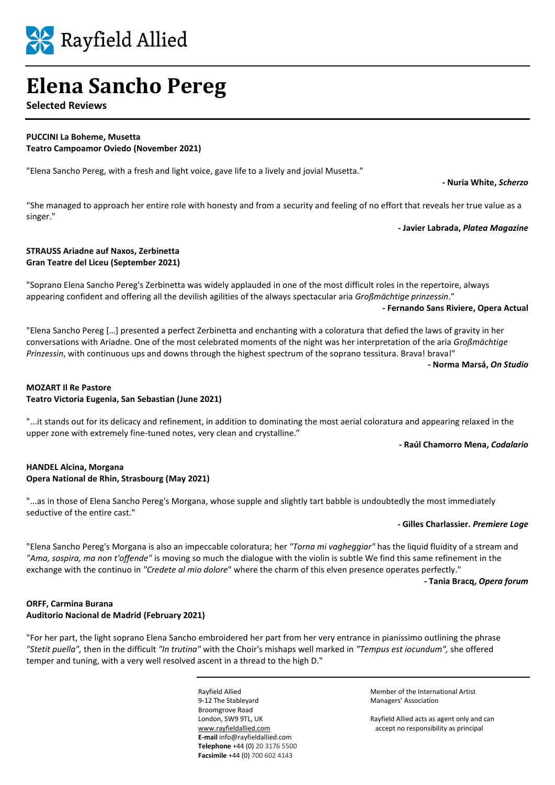

# **Elena Sancho Pereg**

**Selected Reviews**

#### **PUCCINI La Boheme, Musetta Teatro Campoamor Oviedo (November 2021)**

"Elena Sancho Pereg, with a fresh and light voice, gave life to a lively and jovial Musetta."

**- Nuria White,** *Scherzo*

"She managed to approach her entire role with honesty and from a security and feeling of no effort that reveals her true value as a singer."

**- Javier Labrada,** *Platea Magazine*

## **STRAUSS Ariadne auf Naxos, Zerbinetta Gran Teatre del Liceu (September 2021)**

"Soprano Elena Sancho Pereg's Zerbinetta was widely applauded in one of the most difficult roles in the repertoire, always appearing confident and offering all the devilish agilities of the always spectacular aria *Großmächtige prinzessin*."

**- Fernando Sans Riviere, Opera Actual** 

"Elena Sancho Pereg […] presented a perfect Zerbinetta and enchanting with a coloratura that defied the laws of gravity in her conversations with Ariadne. One of the most celebrated moments of the night was her interpretation of the aria *Großmächtige Prinzessin*, with continuous ups and downs through the highest spectrum of the soprano tessitura. Brava! brava!"

**- Norma Marsá,** *On Studio*

# **MOZART Il Re Pastore Teatro Victoria Eugenia, San Sebastian (June 2021)**

"...it stands out for its delicacy and refinement, in addition to dominating the most aerial coloratura and appearing relaxed in the upper zone with extremely fine-tuned notes, very clean and crystalline."

**- Raúl Chamorro Mena,** *Codalario*

# **HANDEL Alcina, Morgana Opera National de Rhin, Strasbourg (May 2021)**

"...as in those of Elena Sancho Pereg's Morgana, whose supple and slightly tart babble is undoubtedly the most immediately seductive of the entire cast."

### **- Gilles Charlassier.** *Premiere Loge*

"Elena Sancho Pereg's Morgana is also an impeccable coloratura; her *"Torna mi vagheggiar"* has the liquid fluidity of a stream and *"Ama, sospira, ma non t'offende"* is moving so much the dialogue with the violin is subtle We find this same refinement in the exchange with the continuo in *"Credete al mio dolore*" where the charm of this elven presence operates perfectly."

**- Tania Bracq,** *Opera forum*

# **ORFF, Carmina Burana Auditorio Nacional de Madrid (February 2021)**

"For her part, the light soprano Elena Sancho embroidered her part from her very entrance in pianissimo outlining the phrase *"Stetit puella",* then in the difficult *"In trutina"* with the Choir's mishaps well marked in *"Tempus est iocundum",* she offered temper and tuning, with a very well resolved ascent in a thread to the high D."

> 9-12 The Stableyard Managers' Association Broomgrove Road **E-mail** info@rayfieldallied.com **Telephone** +44 (0) 20 3176 5500 **Facsimile** +44 (0) 700 602 4143

Rayfield Allied Member of the International Artist

London, SW9 9TL, UK Rayfield Allied acts as agent only and can [www.rayfieldallied.com](http://www.rayfieldallied.com/) accept no responsibility as principal